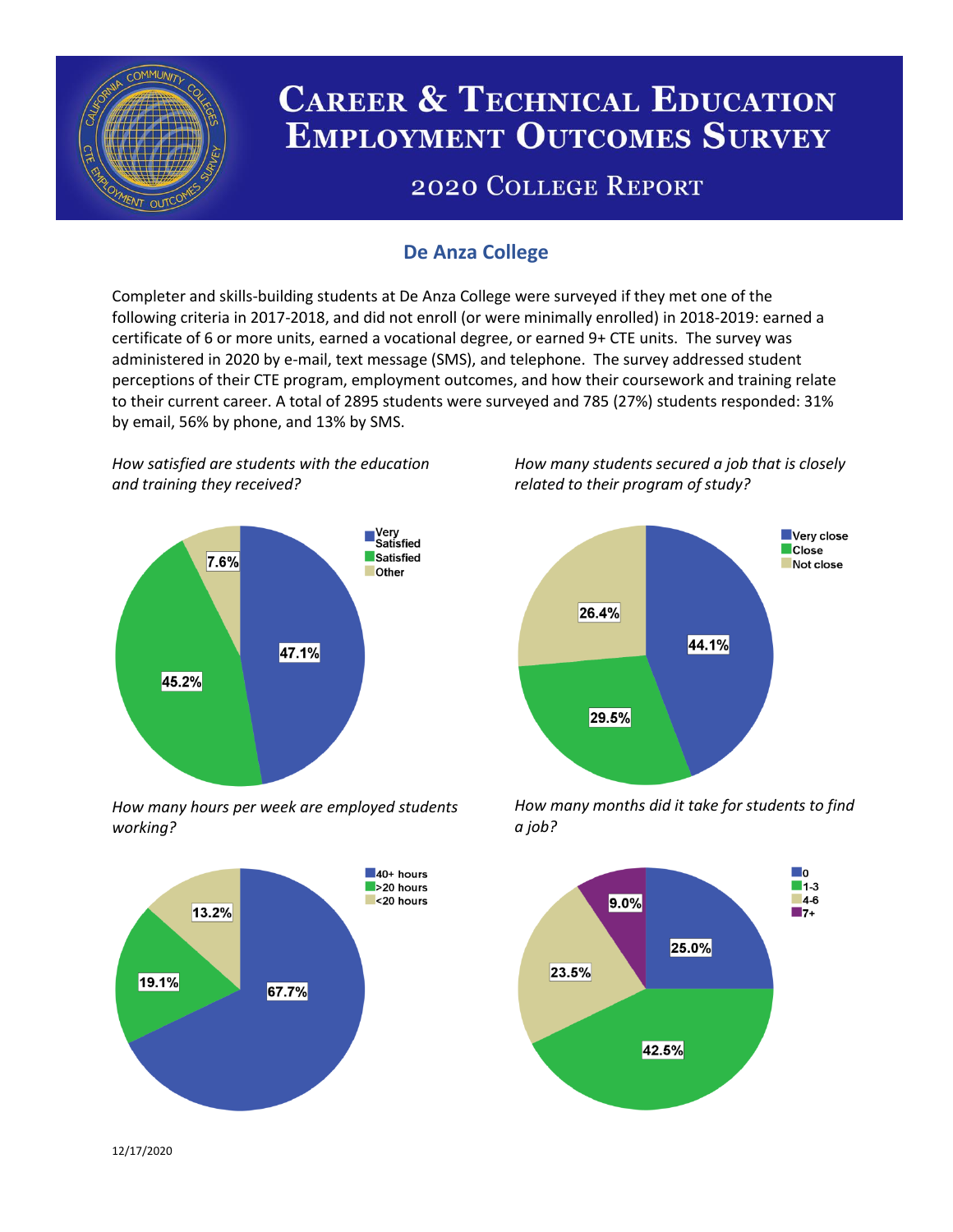

# **CAREER & TECHNICAL EDUCATION EMPLOYMENT OUTCOMES SURVEY**

## **2020 COLLEGE REPORT**

## **De Anza College**

Completer and skills-building students at De Anza College were surveyed if they met one of the following criteria in 2017-2018, and did not enroll (or were minimally enrolled) in 2018-2019: earned a certificate of 6 or more units, earned a vocational degree, or earned 9+ CTE units. The survey was administered in 2020 by e-mail, text message (SMS), and telephone. The survey addressed student perceptions of their CTE program, employment outcomes, and how their coursework and training relate to their current career. A total of 2895 students were surveyed and 785 (27%) students responded: 31% by email, 56% by phone, and 13% by SMS.

*How satisfied are students with the education and training they received?*



*How many hours per week are employed students working?*



*How many students secured a job that is closely related to their program of study?*



*How many months did it take for students to find a job?*



12/17/2020